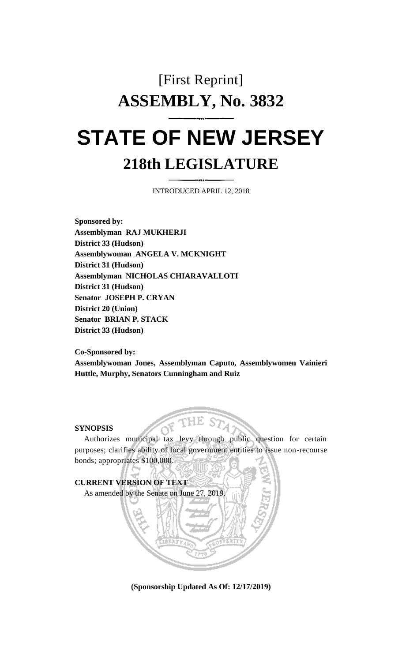# [First Reprint] **ASSEMBLY, No. 3832 STATE OF NEW JERSEY**

# **218th LEGISLATURE**

INTRODUCED APRIL 12, 2018

**Sponsored by: Assemblyman RAJ MUKHERJI District 33 (Hudson) Assemblywoman ANGELA V. MCKNIGHT District 31 (Hudson) Assemblyman NICHOLAS CHIARAVALLOTI District 31 (Hudson) Senator JOSEPH P. CRYAN District 20 (Union) Senator BRIAN P. STACK District 33 (Hudson)**

**Co-Sponsored by: Assemblywoman Jones, Assemblyman Caputo, Assemblywomen Vainieri Huttle, Murphy, Senators Cunningham and Ruiz**

#### **SYNOPSIS**

Authorizes municipal tax levy through public question for certain purposes; clarifies ability of local government entities to issue non-recourse bonds; appropriates \$100,000.



**(Sponsorship Updated As Of: 12/17/2019)**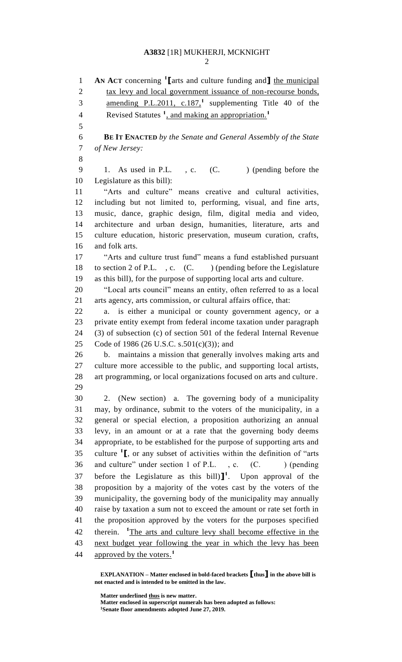### **A3832** [1R] MUKHERJI, MCKNIGHT

**AN ACT** concerning **<sup>1</sup> [**arts and culture funding and**]** the municipal 2 tax levy and local government issuance of non-recourse bonds, 3 amending P.L.2011, c.187,<sup>1</sup> supplementing Title 40 of the Revised Statutes **<sup>1</sup>** , and making an appropriation.**<sup>1</sup> BE IT ENACTED** *by the Senate and General Assembly of the State of New Jersey:* 9 1. As used in P.L., c. (C. ) (pending before the Legislature as this bill): "Arts and culture" means creative and cultural activities, including but not limited to, performing, visual, and fine arts, music, dance, graphic design, film, digital media and video, architecture and urban design, humanities, literature, arts and culture education, historic preservation, museum curation, crafts, and folk arts. "Arts and culture trust fund" means a fund established pursuant 18 to section 2 of P.L., c. (C. ) (pending before the Legislature as this bill), for the purpose of supporting local arts and culture. "Local arts council" means an entity, often referred to as a local arts agency, arts commission, or cultural affairs office, that: a. is either a municipal or county government agency, or a private entity exempt from federal income taxation under paragraph (3) of subsection (c) of section 501 of the federal Internal Revenue Code of 1986 (26 U.S.C. s.501(c)(3)); and b. maintains a mission that generally involves making arts and culture more accessible to the public, and supporting local artists, art programming, or local organizations focused on arts and culture. 2. (New section) a. The governing body of a municipality may, by ordinance, submit to the voters of the municipality, in a general or special election, a proposition authorizing an annual levy, in an amount or at a rate that the governing body deems appropriate, to be established for the purpose of supporting arts and 35 culture <sup>1</sup><sub>L</sub>, or any subset of activities within the definition of "arts" 36 and culture" under section 1 of P.L., c. (C. ) (pending 37 before the Legislature as this bill) $]$ <sup>1</sup>. Upon approval of the proposition by a majority of the votes cast by the voters of the municipality, the governing body of the municipality may annually raise by taxation a sum not to exceed the amount or rate set forth in the proposition approved by the voters for the purposes specified 42 therein. <sup>1</sup>The arts and culture levy shall become effective in the next budget year following the year in which the levy has been approved by the voters. **1** 

**Matter underlined thus is new matter.**

**EXPLANATION – Matter enclosed in bold-faced brackets [thus] in the above bill is not enacted and is intended to be omitted in the law.**

**Matter enclosed in superscript numerals has been adopted as follows: Senate floor amendments adopted June 27, 2019.**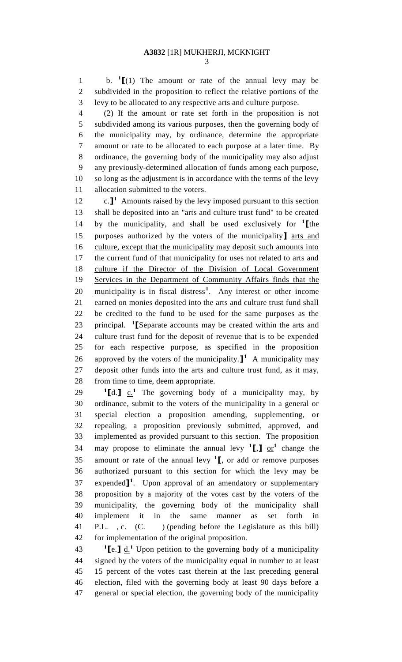b. **<sup>1</sup> [**(1) The amount or rate of the annual levy may be subdivided in the proposition to reflect the relative portions of the levy to be allocated to any respective arts and culture purpose.

 (2) If the amount or rate set forth in the proposition is not subdivided among its various purposes, then the governing body of the municipality may, by ordinance, determine the appropriate amount or rate to be allocated to each purpose at a later time. By ordinance, the governing body of the municipality may also adjust any previously-determined allocation of funds among each purpose, so long as the adjustment is in accordance with the terms of the levy allocation submitted to the voters.

12 c.<sup>1</sup> Amounts raised by the levy imposed pursuant to this section shall be deposited into an "arts and culture trust fund" to be created by the municipality, and shall be used exclusively for **<sup>1</sup> [**the purposes authorized by the voters of the municipality**]** arts and culture, except that the municipality may deposit such amounts into 17 the current fund of that municipality for uses not related to arts and culture if the Director of the Division of Local Government Services in the Department of Community Affairs finds that the 20 municipality is in fiscal distress<sup>1</sup>. Any interest or other income earned on monies deposited into the arts and culture trust fund shall be credited to the fund to be used for the same purposes as the principal. **<sup>1</sup> [**Separate accounts may be created within the arts and culture trust fund for the deposit of revenue that is to be expended for each respective purpose, as specified in the proposition 26 approved by the voters of the municipality.  $\mathbf{I}^1$  A municipality may deposit other funds into the arts and culture trust fund, as it may, from time to time, deem appropriate.

 $\textbf{I}[\text{d} \cdot \textbf{I}]$  c.<sup>1</sup> The governing body of a municipality may, by ordinance, submit to the voters of the municipality in a general or special election a proposition amending, supplementing, or repealing, a proposition previously submitted, approved, and implemented as provided pursuant to this section. The proposition 34 may propose to eliminate the annual levy  $\binom{1}{1}$  or  $\binom{1}{2}$  change the amount or rate of the annual levy **<sup>1</sup> [**, or add or remove purposes authorized pursuant to this section for which the levy may be 37 expended<sup>1</sup>. Upon approval of an amendatory or supplementary proposition by a majority of the votes cast by the voters of the municipality, the governing body of the municipality shall implement it in the same manner as set forth in P.L. , c. (C. ) (pending before the Legislature as this bill) for implementation of the original proposition.

**I**e. **1** d.<sup>1</sup> Upon petition to the governing body of a municipality signed by the voters of the municipality equal in number to at least 15 percent of the votes cast therein at the last preceding general election, filed with the governing body at least 90 days before a general or special election, the governing body of the municipality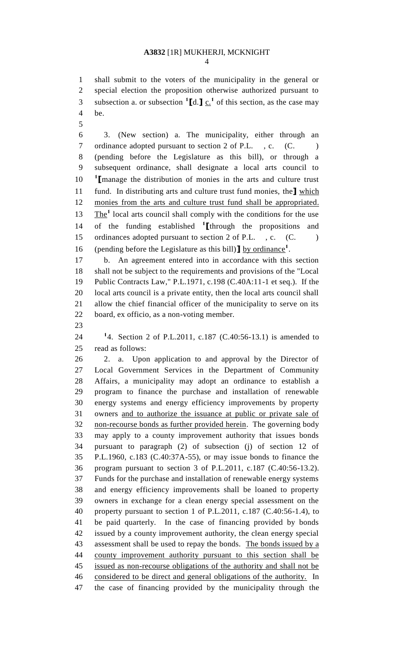## **A3832** [1R] MUKHERJI, MCKNIGHT

 shall submit to the voters of the municipality in the general or special election the proposition otherwise authorized pursuant to subsection a. or subsection  ${}^{1}\text{Id}.$  **]**  $\underline{c}$ , <sup>1</sup> of this section, as the case may be.

 3. (New section) a. The municipality, either through an 7 ordinance adopted pursuant to section 2 of P.L., c. (C.) (pending before the Legislature as this bill), or through a subsequent ordinance, shall designate a local arts council to **1 [**manage the distribution of monies in the arts and culture trust fund. In distributing arts and culture trust fund monies, the**]** which 12 monies from the arts and culture trust fund shall be appropriated. 13 The<sup>1</sup> local arts council shall comply with the conditions for the use of the funding established **<sup>1</sup> [**through the propositions and 15 ordinances adopted pursuant to section 2 of P.L., c. (C. ) (pending before the Legislature as this bill)**]** by ordinance**<sup>1</sup>** .

 b. An agreement entered into in accordance with this section shall not be subject to the requirements and provisions of the "Local Public Contracts Law," P.L.1971, c.198 (C.40A:11-1 et seq.). If the local arts council is a private entity, then the local arts council shall allow the chief financial officer of the municipality to serve on its board, ex officio, as a non-voting member.

**1** 4. Section 2 of P.L.2011, c.187 (C.40:56-13.1) is amended to read as follows:

 2. a. Upon application to and approval by the Director of Local Government Services in the Department of Community Affairs, a municipality may adopt an ordinance to establish a program to finance the purchase and installation of renewable energy systems and energy efficiency improvements by property owners and to authorize the issuance at public or private sale of non-recourse bonds as further provided herein. The governing body may apply to a county improvement authority that issues bonds pursuant to paragraph (2) of subsection (j) of section 12 of P.L.1960, c.183 (C.40:37A-55), or may issue bonds to finance the program pursuant to section 3 of P.L.2011, c.187 (C.40:56-13.2). Funds for the purchase and installation of renewable energy systems and energy efficiency improvements shall be loaned to property owners in exchange for a clean energy special assessment on the property pursuant to section 1 of P.L.2011, c.187 (C.40:56-1.4), to be paid quarterly. In the case of financing provided by bonds issued by a county improvement authority, the clean energy special 43 assessment shall be used to repay the bonds. The bonds issued by a county improvement authority pursuant to this section shall be issued as non-recourse obligations of the authority and shall not be considered to be direct and general obligations of the authority. In the case of financing provided by the municipality through the